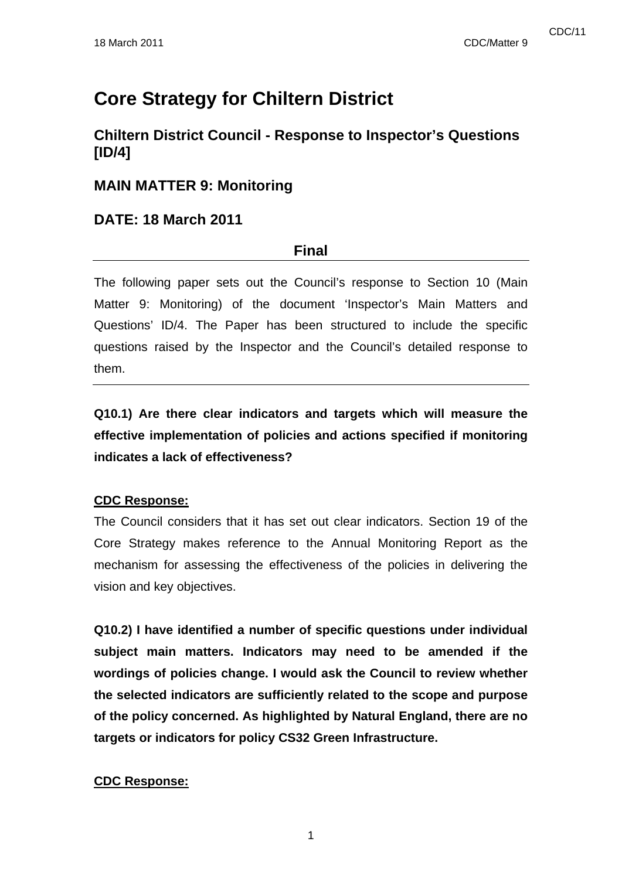# **Core Strategy for Chiltern District**

# **Chiltern District Council - Response to Inspector's Questions [ID/4]**

## **MAIN MATTER 9: Monitoring**

## **DATE: 18 March 2011**

#### **Final**

The following paper sets out the Council's response to Section 10 (Main Matter 9: Monitoring) of the document 'Inspector's Main Matters and Questions' ID/4. The Paper has been structured to include the specific questions raised by the Inspector and the Council's detailed response to them.

**Q10.1) Are there clear indicators and targets which will measure the effective implementation of policies and actions specified if monitoring indicates a lack of effectiveness?** 

#### **CDC Response:**

The Council considers that it has set out clear indicators. Section 19 of the Core Strategy makes reference to the Annual Monitoring Report as the mechanism for assessing the effectiveness of the policies in delivering the vision and key objectives.

**Q10.2) I have identified a number of specific questions under individual subject main matters. Indicators may need to be amended if the wordings of policies change. I would ask the Council to review whether the selected indicators are sufficiently related to the scope and purpose of the policy concerned. As highlighted by Natural England, there are no targets or indicators for policy CS32 Green Infrastructure.** 

#### **CDC Response:**